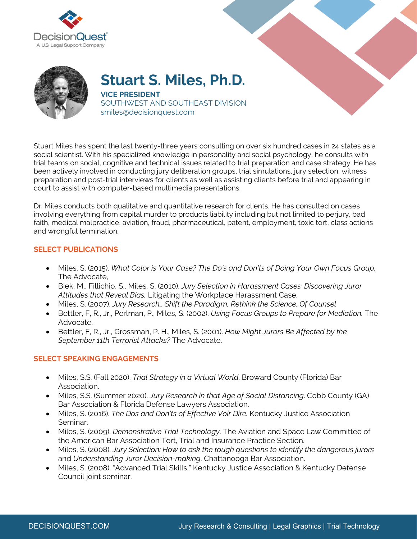



**Stuart S. Miles, Ph.D. VICE PRESIDENT** SOUTHWEST AND SOUTHEAST DIVISION smiles@decisionquest.com

Stuart Miles has spent the last twenty-three years consulting on over six hundred cases in 24 states as a social scientist. With his specialized knowledge in personality and social psychology, he consults with trial teams on social, cognitive and technical issues related to trial preparation and case strategy. He has been actively involved in conducting jury deliberation groups, trial simulations, jury selection, witness preparation and post-trial interviews for clients as well as assisting clients before trial and appearing in court to assist with computer-based multimedia presentations.

Dr. Miles conducts both qualitative and quantitative research for clients. He has consulted on cases involving everything from capital murder to products liability including but not limited to perjury, bad faith, medical malpractice, aviation, fraud, pharmaceutical, patent, employment, toxic tort, class actions and wrongful termination.

## **SELECT PUBLICATIONS**

- Miles, S. (2015). *What Color is Your Case? The Do's and Don'ts of Doing Your Own Focus Group.*  The Advocate,
- Biek, M,, Fillichio, S., Miles, S. (2010). *Jury Selection in Harassment Cases: Discovering Juror Attitudes that Reveal Bias,* Litigating the Workplace Harassment Case.
- Miles, S. (2007). *Jury Research… Shift the Paradigm, Rethink the Science. Of Counsel*
- Bettler, F, R., Jr., Perlman, P., Miles, S. (2002). *Using Focus Groups to Prepare for Mediation.* The Advocate.
- Bettler, F, R., Jr., Grossman, P. H., Miles, S. (2001). *How Might Jurors Be Affected by the September 11th Terrorist Attacks?* The Advocate.

## **SELECT SPEAKING ENGAGEMENTS**

- Miles, S.S. (Fall 2020). *Trial Strategy in a Virtual World*. Broward County (Florida) Bar Association.
- Miles, S.S. (Summer 2020). *Jury Research in that Age of Social Distancing*. Cobb County (GA) Bar Association & Florida Defense Lawyers Association.
- Miles, S. (2016). *The Dos and Don'ts of Effective Voir Dire.* Kentucky Justice Association Seminar.
- Miles, S. (2009). *Demonstrative Trial Technology*. The Aviation and Space Law Committee of the American Bar Association Tort, Trial and Insurance Practice Section.
- Miles, S. (2008). *Jury Selection: How to ask the tough questions to identify the dangerous jurors* and *Understanding Juror Decision-making*. Chattanooga Bar Association.
- Miles, S. (2008). "Advanced Trial Skills," Kentucky Justice Association & Kentucky Defense Council joint seminar.